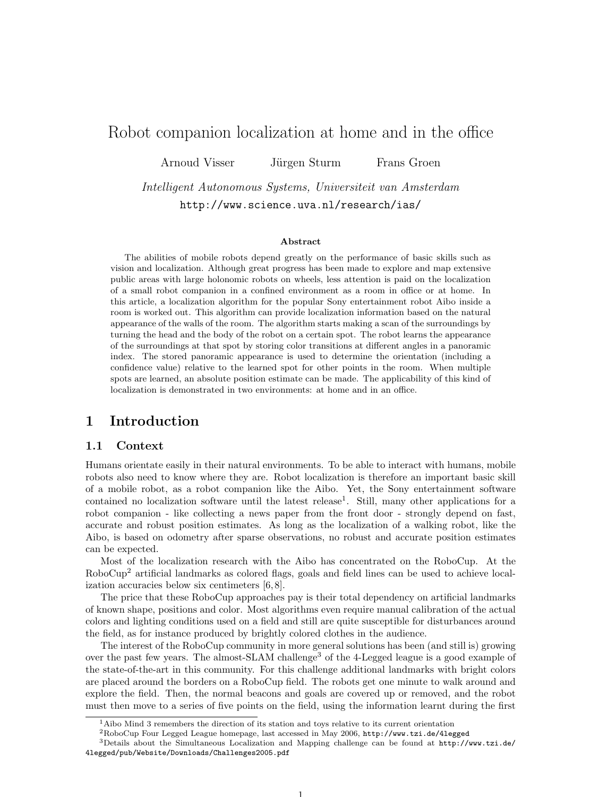# Robot companion localization at home and in the office

Arnoud Visser Jürgen Sturm Frans Groen

Intelligent Autonomous Systems, Universiteit van Amsterdam http://www.science.uva.nl/research/ias/

#### Abstract

The abilities of mobile robots depend greatly on the performance of basic skills such as vision and localization. Although great progress has been made to explore and map extensive public areas with large holonomic robots on wheels, less attention is paid on the localization of a small robot companion in a confined environment as a room in office or at home. In this article, a localization algorithm for the popular Sony entertainment robot Aibo inside a room is worked out. This algorithm can provide localization information based on the natural appearance of the walls of the room. The algorithm starts making a scan of the surroundings by turning the head and the body of the robot on a certain spot. The robot learns the appearance of the surroundings at that spot by storing color transitions at different angles in a panoramic index. The stored panoramic appearance is used to determine the orientation (including a confidence value) relative to the learned spot for other points in the room. When multiple spots are learned, an absolute position estimate can be made. The applicability of this kind of localization is demonstrated in two environments: at home and in an office.

### 1 Introduction

#### 1.1 Context

Humans orientate easily in their natural environments. To be able to interact with humans, mobile robots also need to know where they are. Robot localization is therefore an important basic skill of a mobile robot, as a robot companion like the Aibo. Yet, the Sony entertainment software contained no localization software until the latest release<sup>1</sup>. Still, many other applications for a robot companion - like collecting a news paper from the front door - strongly depend on fast, accurate and robust position estimates. As long as the localization of a walking robot, like the Aibo, is based on odometry after sparse observations, no robust and accurate position estimates can be expected.

Most of the localization research with the Aibo has concentrated on the RoboCup. At the RoboCup<sup>2</sup> artificial landmarks as colored flags, goals and field lines can be used to achieve localization accuracies below six centimeters [6, 8].

The price that these RoboCup approaches pay is their total dependency on artificial landmarks of known shape, positions and color. Most algorithms even require manual calibration of the actual colors and lighting conditions used on a field and still are quite susceptible for disturbances around the field, as for instance produced by brightly colored clothes in the audience.

The interest of the RoboCup community in more general solutions has been (and still is) growing over the past few years. The almost-SLAM challenge<sup>3</sup> of the 4-Legged league is a good example of the state-of-the-art in this community. For this challenge additional landmarks with bright colors are placed around the borders on a RoboCup field. The robots get one minute to walk around and explore the field. Then, the normal beacons and goals are covered up or removed, and the robot must then move to a series of five points on the field, using the information learnt during the first

1

 $<sup>1</sup>$ Aibo Mind 3 remembers the direction of its station and toys relative to its current orientation</sup>

<sup>2</sup>RoboCup Four Legged League homepage, last accessed in May 2006, http://www.tzi.de/4legged

<sup>3</sup>Details about the Simultaneous Localization and Mapping challenge can be found at http://www.tzi.de/ 4legged/pub/Website/Downloads/Challenges2005.pdf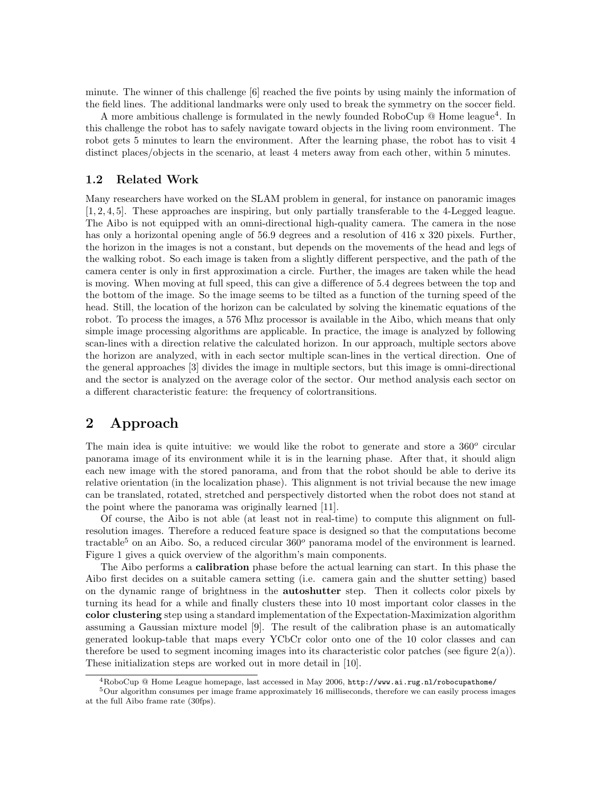minute. The winner of this challenge [6] reached the five points by using mainly the information of the field lines. The additional landmarks were only used to break the symmetry on the soccer field.

A more ambitious challenge is formulated in the newly founded RoboCup  $\Omega$  Home league<sup>4</sup>. In this challenge the robot has to safely navigate toward objects in the living room environment. The robot gets 5 minutes to learn the environment. After the learning phase, the robot has to visit 4 distinct places/objects in the scenario, at least 4 meters away from each other, within 5 minutes.

#### 1.2 Related Work

Many researchers have worked on the SLAM problem in general, for instance on panoramic images [1, 2, 4, 5]. These approaches are inspiring, but only partially transferable to the 4-Legged league. The Aibo is not equipped with an omni-directional high-quality camera. The camera in the nose has only a horizontal opening angle of 56.9 degrees and a resolution of 416 x 320 pixels. Further, the horizon in the images is not a constant, but depends on the movements of the head and legs of the walking robot. So each image is taken from a slightly different perspective, and the path of the camera center is only in first approximation a circle. Further, the images are taken while the head is moving. When moving at full speed, this can give a difference of 5.4 degrees between the top and the bottom of the image. So the image seems to be tilted as a function of the turning speed of the head. Still, the location of the horizon can be calculated by solving the kinematic equations of the robot. To process the images, a 576 Mhz processor is available in the Aibo, which means that only simple image processing algorithms are applicable. In practice, the image is analyzed by following scan-lines with a direction relative the calculated horizon. In our approach, multiple sectors above the horizon are analyzed, with in each sector multiple scan-lines in the vertical direction. One of the general approaches [3] divides the image in multiple sectors, but this image is omni-directional and the sector is analyzed on the average color of the sector. Our method analysis each sector on a different characteristic feature: the frequency of colortransitions.

### 2 Approach

The main idea is quite intuitive: we would like the robot to generate and store a  $360^{\circ}$  circular panorama image of its environment while it is in the learning phase. After that, it should align each new image with the stored panorama, and from that the robot should be able to derive its relative orientation (in the localization phase). This alignment is not trivial because the new image can be translated, rotated, stretched and perspectively distorted when the robot does not stand at the point where the panorama was originally learned [11].

Of course, the Aibo is not able (at least not in real-time) to compute this alignment on fullresolution images. Therefore a reduced feature space is designed so that the computations become tractable<sup>5</sup> on an Aibo. So, a reduced circular  $360^{\circ}$  panorama model of the environment is learned. Figure 1 gives a quick overview of the algorithm's main components.

The Aibo performs a calibration phase before the actual learning can start. In this phase the Aibo first decides on a suitable camera setting (i.e. camera gain and the shutter setting) based on the dynamic range of brightness in the autoshutter step. Then it collects color pixels by turning its head for a while and finally clusters these into 10 most important color classes in the color clustering step using a standard implementation of the Expectation-Maximization algorithm assuming a Gaussian mixture model [9]. The result of the calibration phase is an automatically generated lookup-table that maps every YCbCr color onto one of the 10 color classes and can therefore be used to segment incoming images into its characteristic color patches (see figure  $2(a)$ ). These initialization steps are worked out in more detail in [10].

<sup>4</sup>RoboCup @ Home League homepage, last accessed in May 2006, http://www.ai.rug.nl/robocupathome/

<sup>5</sup>Our algorithm consumes per image frame approximately 16 milliseconds, therefore we can easily process images at the full Aibo frame rate (30fps).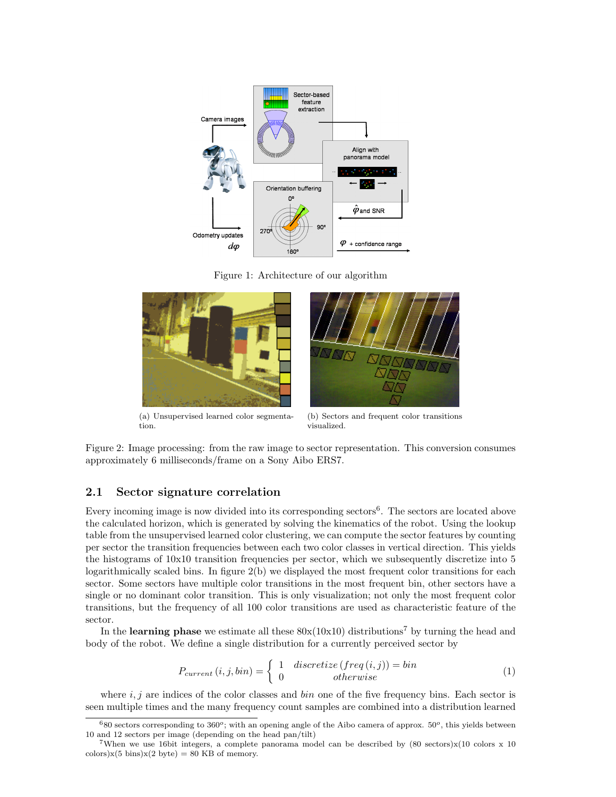

Figure 1: Architecture of our algorithm



(a) Unsupervised learned color segmentation.



(b) Sectors and frequent color transitions visualized.

Figure 2: Image processing: from the raw image to sector representation. This conversion consumes approximately 6 milliseconds/frame on a Sony Aibo ERS7.

### 2.1 Sector signature correlation

Every incoming image is now divided into its corresponding sectors<sup>6</sup>. The sectors are located above the calculated horizon, which is generated by solving the kinematics of the robot. Using the lookup table from the unsupervised learned color clustering, we can compute the sector features by counting per sector the transition frequencies between each two color classes in vertical direction. This yields the histograms of 10x10 transition frequencies per sector, which we subsequently discretize into 5 logarithmically scaled bins. In figure  $2(b)$  we displayed the most frequent color transitions for each sector. Some sectors have multiple color transitions in the most frequent bin, other sectors have a single or no dominant color transition. This is only visualization; not only the most frequent color transitions, but the frequency of all 100 color transitions are used as characteristic feature of the sector.

In the **learning phase** we estimate all these  $80x(10x10)$  distributions<sup>7</sup> by turning the head and body of the robot. We define a single distribution for a currently perceived sector by

$$
P_{current}(i, j, bin) = \begin{cases} 1 & \text{discretize} \ (freq(i, j)) = bin \\ 0 & \text{otherwise} \end{cases} \tag{1}
$$

where i, j are indices of the color classes and  $bin$  one of the five frequency bins. Each sector is seen multiple times and the many frequency count samples are combined into a distribution learned

 $680$  sectors corresponding to  $360^\circ$ ; with an opening angle of the Aibo camera of approx.  $50^\circ$ , this yields between 10 and 12 sectors per image (depending on the head pan/tilt)

<sup>&</sup>lt;sup>7</sup>When we use 16bit integers, a complete panorama model can be described by  $(80 \text{ sectors}) \times (10 \text{ colors} \times 10$ colors) $x(5 \text{ bins})x(2 \text{ byte}) = 80 \text{ KB of memory.}$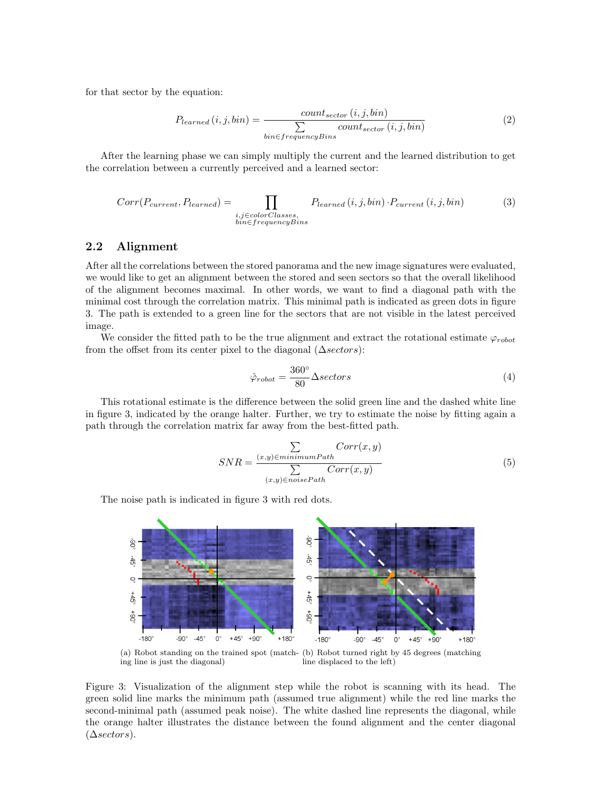for that sector by the equation:

$$
P_{learned}(i, j, bin) = \frac{count_{sector}(i, j, bin)}{\sum_{bin \in frequencyBins} count_{sector}(i, j, bin)}
$$
(2)

After the learning phase we can simply multiply the current and the learned distribution to get the correlation between a currently perceived and a learned sector:

$$
Corr(P_{current}, P_{learned}) = \prod_{\substack{i,j \in colorClasses, \\ bin \in frequencyBins}} P_{learned}(i,j,bin) \cdot P_{current}(i,j,bin)
$$
(3)

#### 2.2 Alignment

After all the correlations between the stored panorama and the new image signatures were evaluated, we would like to get an alignment between the stored and seen sectors so that the overall likelihood of the alignment becomes maximal. In other words, we want to find a diagonal path with the minimal cost through the correlation matrix. This minimal path is indicated as green dots in figure 3. The path is extended to a green line for the sectors that are not visible in the latest perceived image.

We consider the fitted path to be the true alignment and extract the rotational estimate  $\varphi_{robot}$ from the offset from its center pixel to the diagonal  $(\Delta sectors)$ :

$$
\hat{\varphi}_{robot} = \frac{360^{\circ}}{80} \Delta sectors \tag{4}
$$

This rotational estimate is the difference between the solid green line and the dashed white line in figure 3, indicated by the orange halter. Further, we try to estimate the noise by fitting again a path through the correlation matrix far away from the best-fitted path.

$$
SNR = \frac{\sum\limits_{(x,y)\in minimumPath}Corr(x,y)}{\sum\limits_{(x,y)\in noisePath}Corr(x,y)}
$$
(5)

The noise path is indicated in figure 3 with red dots.



Figure 3: Visualization of the alignment step while the robot is scanning with its head. The green solid line marks the minimum path (assumed true alignment) while the red line marks the second-minimal path (assumed peak noise). The white dashed line represents the diagonal, while the orange halter illustrates the distance between the found alignment and the center diagonal  $(\triangle sectors).$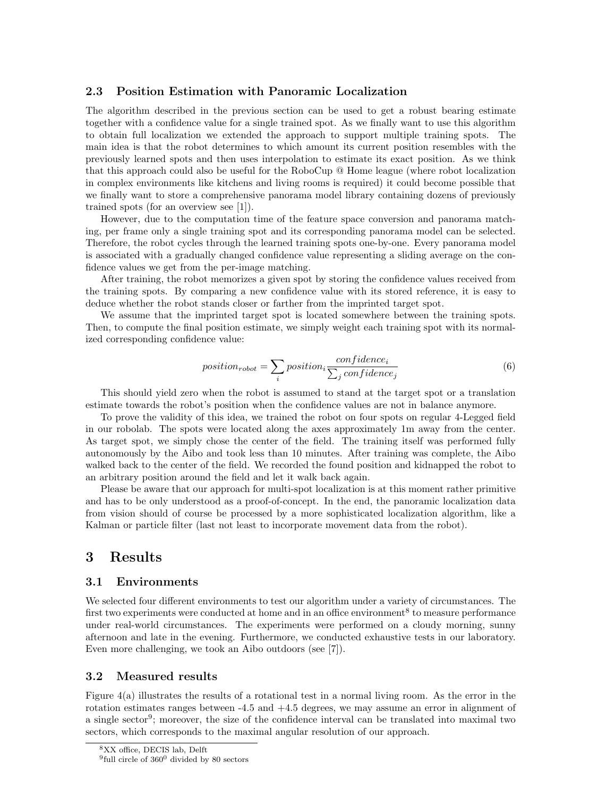#### 2.3 Position Estimation with Panoramic Localization

The algorithm described in the previous section can be used to get a robust bearing estimate together with a confidence value for a single trained spot. As we finally want to use this algorithm to obtain full localization we extended the approach to support multiple training spots. The main idea is that the robot determines to which amount its current position resembles with the previously learned spots and then uses interpolation to estimate its exact position. As we think that this approach could also be useful for the RoboCup @ Home league (where robot localization in complex environments like kitchens and living rooms is required) it could become possible that we finally want to store a comprehensive panorama model library containing dozens of previously trained spots (for an overview see [1]).

However, due to the computation time of the feature space conversion and panorama matching, per frame only a single training spot and its corresponding panorama model can be selected. Therefore, the robot cycles through the learned training spots one-by-one. Every panorama model is associated with a gradually changed confidence value representing a sliding average on the confidence values we get from the per-image matching.

After training, the robot memorizes a given spot by storing the confidence values received from the training spots. By comparing a new confidence value with its stored reference, it is easy to deduce whether the robot stands closer or farther from the imprinted target spot.

We assume that the imprinted target spot is located somewhere between the training spots. Then, to compute the final position estimate, we simply weight each training spot with its normalized corresponding confidence value:

$$
position_{robot} = \sum_{i} position_i \frac{confidence_i}{\sum_{j} confidence_j}
$$
\n(6)

This should yield zero when the robot is assumed to stand at the target spot or a translation estimate towards the robot's position when the confidence values are not in balance anymore.

To prove the validity of this idea, we trained the robot on four spots on regular 4-Legged field in our robolab. The spots were located along the axes approximately 1m away from the center. As target spot, we simply chose the center of the field. The training itself was performed fully autonomously by the Aibo and took less than 10 minutes. After training was complete, the Aibo walked back to the center of the field. We recorded the found position and kidnapped the robot to an arbitrary position around the field and let it walk back again.

Please be aware that our approach for multi-spot localization is at this moment rather primitive and has to be only understood as a proof-of-concept. In the end, the panoramic localization data from vision should of course be processed by a more sophisticated localization algorithm, like a Kalman or particle filter (last not least to incorporate movement data from the robot).

## 3 Results

#### 3.1 Environments

We selected four different environments to test our algorithm under a variety of circumstances. The first two experiments were conducted at home and in an office environment<sup>8</sup> to measure performance under real-world circumstances. The experiments were performed on a cloudy morning, sunny afternoon and late in the evening. Furthermore, we conducted exhaustive tests in our laboratory. Even more challenging, we took an Aibo outdoors (see [7]).

#### 3.2 Measured results

Figure 4(a) illustrates the results of a rotational test in a normal living room. As the error in the rotation estimates ranges between  $-4.5$  and  $+4.5$  degrees, we may assume an error in alignment of a single sector<sup>9</sup>; moreover, the size of the confidence interval can be translated into maximal two sectors, which corresponds to the maximal angular resolution of our approach.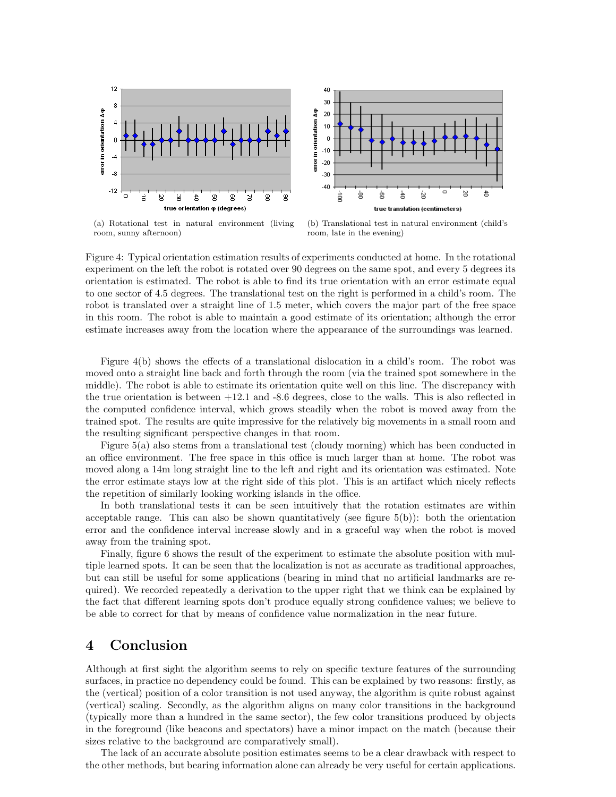

(a) Rotational test in natural environment (living room, sunny afternoon)

(b) Translational test in natural environment (child's room, late in the evening)

Figure 4: Typical orientation estimation results of experiments conducted at home. In the rotational experiment on the left the robot is rotated over 90 degrees on the same spot, and every 5 degrees its orientation is estimated. The robot is able to find its true orientation with an error estimate equal to one sector of 4.5 degrees. The translational test on the right is performed in a child's room. The robot is translated over a straight line of 1.5 meter, which covers the major part of the free space in this room. The robot is able to maintain a good estimate of its orientation; although the error estimate increases away from the location where the appearance of the surroundings was learned.

Figure 4(b) shows the effects of a translational dislocation in a child's room. The robot was moved onto a straight line back and forth through the room (via the trained spot somewhere in the middle). The robot is able to estimate its orientation quite well on this line. The discrepancy with the true orientation is between +12.1 and -8.6 degrees, close to the walls. This is also reflected in the computed confidence interval, which grows steadily when the robot is moved away from the trained spot. The results are quite impressive for the relatively big movements in a small room and the resulting significant perspective changes in that room.

Figure 5(a) also stems from a translational test (cloudy morning) which has been conducted in an office environment. The free space in this office is much larger than at home. The robot was moved along a 14m long straight line to the left and right and its orientation was estimated. Note the error estimate stays low at the right side of this plot. This is an artifact which nicely reflects the repetition of similarly looking working islands in the office.

In both translational tests it can be seen intuitively that the rotation estimates are within acceptable range. This can also be shown quantitatively (see figure  $5(b)$ ): both the orientation error and the confidence interval increase slowly and in a graceful way when the robot is moved away from the training spot.

Finally, figure 6 shows the result of the experiment to estimate the absolute position with multiple learned spots. It can be seen that the localization is not as accurate as traditional approaches, but can still be useful for some applications (bearing in mind that no artificial landmarks are required). We recorded repeatedly a derivation to the upper right that we think can be explained by the fact that different learning spots don't produce equally strong confidence values; we believe to be able to correct for that by means of confidence value normalization in the near future.

### 4 Conclusion

Although at first sight the algorithm seems to rely on specific texture features of the surrounding surfaces, in practice no dependency could be found. This can be explained by two reasons: firstly, as the (vertical) position of a color transition is not used anyway, the algorithm is quite robust against (vertical) scaling. Secondly, as the algorithm aligns on many color transitions in the background (typically more than a hundred in the same sector), the few color transitions produced by objects in the foreground (like beacons and spectators) have a minor impact on the match (because their sizes relative to the background are comparatively small).

The lack of an accurate absolute position estimates seems to be a clear drawback with respect to the other methods, but bearing information alone can already be very useful for certain applications.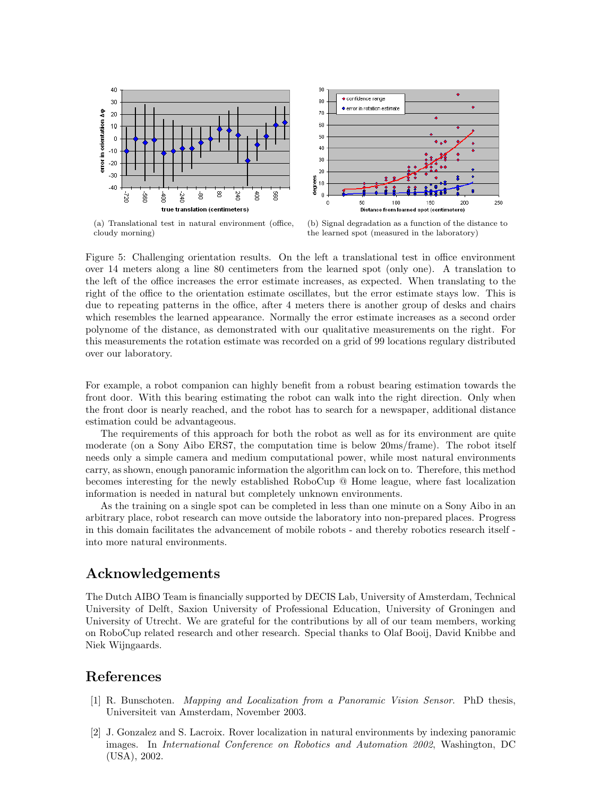



(a) Translational test in natural environment (office, cloudy morning)

(b) Signal degradation as a function of the distance to the learned spot (measured in the laboratory)

Figure 5: Challenging orientation results. On the left a translational test in office environment over 14 meters along a line 80 centimeters from the learned spot (only one). A translation to the left of the office increases the error estimate increases, as expected. When translating to the right of the office to the orientation estimate oscillates, but the error estimate stays low. This is due to repeating patterns in the office, after 4 meters there is another group of desks and chairs which resembles the learned appearance. Normally the error estimate increases as a second order polynome of the distance, as demonstrated with our qualitative measurements on the right. For this measurements the rotation estimate was recorded on a grid of 99 locations regulary distributed over our laboratory.

For example, a robot companion can highly benefit from a robust bearing estimation towards the front door. With this bearing estimating the robot can walk into the right direction. Only when the front door is nearly reached, and the robot has to search for a newspaper, additional distance estimation could be advantageous.

The requirements of this approach for both the robot as well as for its environment are quite moderate (on a Sony Aibo ERS7, the computation time is below 20ms/frame). The robot itself needs only a simple camera and medium computational power, while most natural environments carry, as shown, enough panoramic information the algorithm can lock on to. Therefore, this method becomes interesting for the newly established RoboCup @ Home league, where fast localization information is needed in natural but completely unknown environments.

As the training on a single spot can be completed in less than one minute on a Sony Aibo in an arbitrary place, robot research can move outside the laboratory into non-prepared places. Progress in this domain facilitates the advancement of mobile robots - and thereby robotics research itself into more natural environments.

## Acknowledgements

The Dutch AIBO Team is financially supported by DECIS Lab, University of Amsterdam, Technical University of Delft, Saxion University of Professional Education, University of Groningen and University of Utrecht. We are grateful for the contributions by all of our team members, working on RoboCup related research and other research. Special thanks to Olaf Booij, David Knibbe and Niek Wijngaards.

## References

- [1] R. Bunschoten. Mapping and Localization from a Panoramic Vision Sensor. PhD thesis, Universiteit van Amsterdam, November 2003.
- [2] J. Gonzalez and S. Lacroix. Rover localization in natural environments by indexing panoramic images. In International Conference on Robotics and Automation 2002, Washington, DC (USA), 2002.